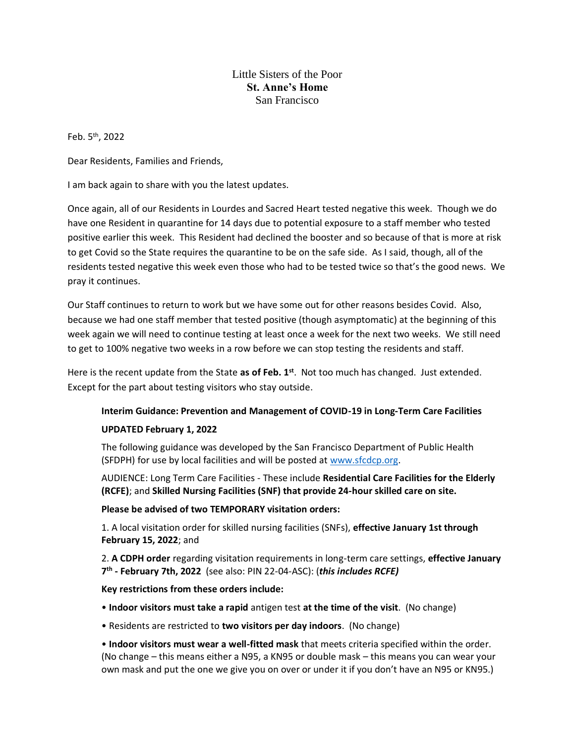# Little Sisters of the Poor **St. Anne's Home** San Francisco

Feb. 5th, 2022

Dear Residents, Families and Friends,

I am back again to share with you the latest updates.

Once again, all of our Residents in Lourdes and Sacred Heart tested negative this week. Though we do have one Resident in quarantine for 14 days due to potential exposure to a staff member who tested positive earlier this week. This Resident had declined the booster and so because of that is more at risk to get Covid so the State requires the quarantine to be on the safe side. As I said, though, all of the residents tested negative this week even those who had to be tested twice so that's the good news. We pray it continues.

Our Staff continues to return to work but we have some out for other reasons besides Covid. Also, because we had one staff member that tested positive (though asymptomatic) at the beginning of this week again we will need to continue testing at least once a week for the next two weeks. We still need to get to 100% negative two weeks in a row before we can stop testing the residents and staff.

Here is the recent update from the State **as of Feb. 1st**. Not too much has changed. Just extended. Except for the part about testing visitors who stay outside.

## **Interim Guidance: Prevention and Management of COVID-19 in Long-Term Care Facilities**

### **UPDATED February 1, 2022**

The following guidance was developed by the San Francisco Department of Public Health (SFDPH) for use by local facilities and will be posted at [www.sfcdcp.org.](http://www.sfcdcp.org/)

AUDIENCE: Long Term Care Facilities - These include **Residential Care Facilities for the Elderly (RCFE)**; and **Skilled Nursing Facilities (SNF) that provide 24-hour skilled care on site.**

### **Please be advised of two TEMPORARY visitation orders:**

1. A local visitation order for skilled nursing facilities (SNFs), **effective January 1st through February 15, 2022**; and

2. **A CDPH order** regarding visitation requirements in long-term care settings, **effective January 7 th - February 7th, 2022** (see also: PIN 22-04-ASC): (*this includes RCFE)*

### **Key restrictions from these orders include:**

- **Indoor visitors must take a rapid** antigen test **at the time of the visit**. (No change)
- Residents are restricted to **two visitors per day indoors**. (No change)

• **Indoor visitors must wear a well-fitted mask** that meets criteria specified within the order. (No change – this means either a N95, a KN95 or double mask – this means you can wear your own mask and put the one we give you on over or under it if you don't have an N95 or KN95.)